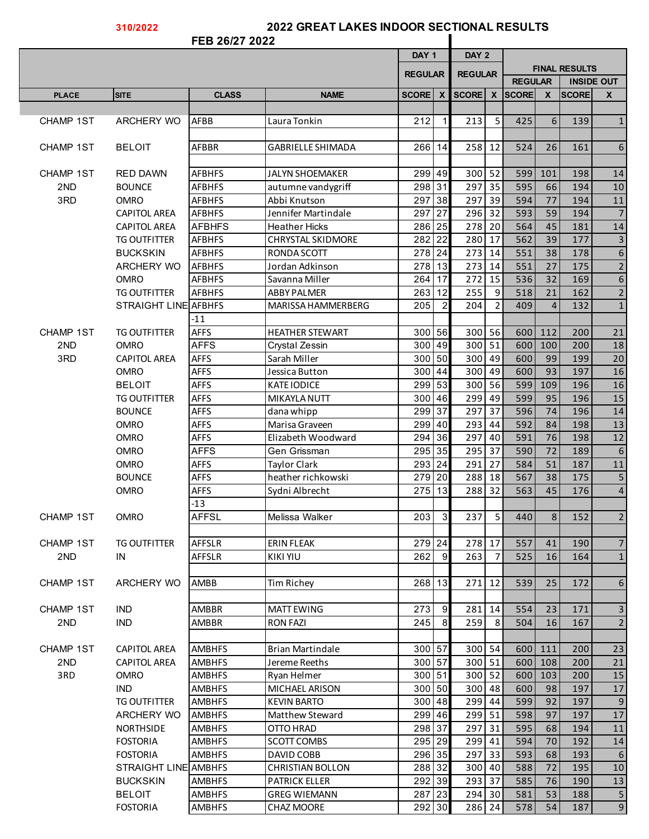## **310/2022**

## **2022 GREAT LAKES INDOOR SECTIONAL RESULTS**

|                  |                                        | FEB 26/27 2022                 |                                         |                  |                |                     |                |                |                |                      |                         |
|------------------|----------------------------------------|--------------------------------|-----------------------------------------|------------------|----------------|---------------------|----------------|----------------|----------------|----------------------|-------------------------|
|                  |                                        |                                |                                         | DAY <sub>1</sub> |                | DAY 2               |                |                |                |                      |                         |
|                  |                                        |                                |                                         | <b>REGULAR</b>   |                | <b>REGULAR</b>      |                | <b>REGULAR</b> |                | <b>FINAL RESULTS</b> | <b>INSIDE OUT</b>       |
| <b>PLACE</b>     | <b>SITE</b>                            | <b>CLASS</b>                   | <b>NAME</b>                             | SCORE X          |                | SCORE X             |                | <b>SCORE</b>   | $\mathsf{x}$   | <b>SCORE</b>         | $\mathbf{x}$            |
|                  |                                        |                                |                                         |                  |                |                     |                |                |                |                      |                         |
| <b>CHAMP 1ST</b> | <b>ARCHERY WO</b>                      | AFBB                           | Laura Tonkin                            | 212              | $\mathbf{1}$   | 213                 | 5              | 425            | 6              | 139                  | $\mathbf{1}$            |
|                  |                                        |                                |                                         |                  |                |                     |                |                |                |                      |                         |
| CHAMP 1ST        | <b>BELOIT</b>                          | AFBBR                          | <b>GABRIELLE SHIMADA</b>                | 266 14           |                | 258 12              |                | 524            | 26             | 161                  | $\boldsymbol{6}$        |
|                  |                                        |                                |                                         |                  |                |                     |                |                |                |                      |                         |
| CHAMP 1ST        | <b>RED DAWN</b>                        | <b>AFBHFS</b>                  | <b>JALYN SHOEMAKER</b>                  | 299 49           |                | 300 52              |                | 599            | 101            | 198                  | 14                      |
| 2ND              | <b>BOUNCE</b>                          | <b>AFBHFS</b>                  | autumne vandygriff                      | 298 31           |                | $297 \overline{35}$ |                | 595            | 66             | 194                  | 10                      |
| 3RD              | <b>OMRO</b>                            | <b>AFBHFS</b>                  | Abbi Knutson                            | 297 38           |                | 297 39              |                | 594            | 77             | 194                  | 11                      |
|                  | <b>CAPITOL AREA</b>                    | <b>AFBHFS</b>                  | Jennifer Martindale                     | 297 27           |                | 296 32              |                | 593            | 59             | 194                  | $\overline{7}$          |
|                  | <b>CAPITOL AREA</b>                    | <b>AFBHFS</b>                  | <b>Heather Hicks</b>                    | 286 25<br>282 22 |                | 278 20<br>280 17    |                | 564<br>562     | 45<br>39       | 181                  | 14<br>$\overline{3}$    |
|                  | <b>TG OUTFITTER</b><br><b>BUCKSKIN</b> | <b>AFBHFS</b><br><b>AFBHFS</b> | <b>CHRYSTAL SKIDMORE</b><br>RONDA SCOTT | 278 24           |                | 273 14              |                | 551            | 38             | 177                  | $\boldsymbol{6}$        |
|                  | <b>ARCHERY WO</b>                      | <b>AFBHFS</b>                  | Jordan Adkinson                         | 278 13           |                | 273 14              |                | 551            | 27             | 178<br>175           | $\mathbf 2$             |
|                  | <b>OMRO</b>                            | <b>AFBHFS</b>                  | Savanna Miller                          | 264   17         |                | 272                 | 15             | 536            | 32             | 169                  | $\boldsymbol{6}$        |
|                  | <b>TG OUTFITTER</b>                    | <b>AFBHFS</b>                  | <b>ABBY PALMER</b>                      | 263 12           |                | 255                 | 9              | 518            | 21             | 162                  | $\overline{2}$          |
|                  | STRAIGHT LINE AFBHFS                   |                                | MARISSA HAMMERBERG                      | 205              | $\overline{2}$ | 204                 | $\overline{2}$ | 409            | $\overline{4}$ | 132                  | $1\,$                   |
|                  |                                        | $-11$                          |                                         |                  |                |                     |                |                |                |                      |                         |
| CHAMP 1ST        | <b>TG OUTFITTER</b>                    | <b>AFFS</b>                    | <b>HEATHER STEWART</b>                  | 300 56           |                | 300 56              |                | 600            | 112            | 200                  | 21                      |
| 2ND              | <b>OMRO</b>                            | <b>AFFS</b>                    | Crystal Zessin                          | 300 49           |                | 300 51              |                | 600            | 100            | 200                  | 18                      |
| 3RD              | <b>CAPITOL AREA</b>                    | <b>AFFS</b>                    | Sarah Miller                            | 300 50           |                | 300 49              |                | 600            | 99             | 199                  | 20                      |
|                  | <b>OMRO</b>                            | <b>AFFS</b>                    | Jessica Button                          | 300 44           |                | 300 49              |                | 600            | 93             | 197                  | 16                      |
|                  | <b>BELOIT</b>                          | <b>AFFS</b>                    | <b>KATE IODICE</b>                      | 299 53           |                | 300 56              |                | 599            | 109            | 196                  | 16                      |
|                  | <b>TG OUTFITTER</b>                    | <b>AFFS</b>                    | MIKAYLA NUTT                            | 300 46           |                | 299 49              |                | 599            | 95             | 196                  | 15                      |
|                  | <b>BOUNCE</b>                          | <b>AFFS</b>                    | dana whipp                              | 299 37           |                | 297                 | 37             | 596            | 74             | 196                  | 14                      |
|                  | <b>OMRO</b>                            | <b>AFFS</b>                    | Marisa Graveen                          | 299 40           |                | 293                 | 44             | 592            | 84             | 198                  | 13                      |
|                  | <b>OMRO</b>                            | <b>AFFS</b>                    | Elizabeth Woodward                      | 294 36           |                | 297                 | 40             | 591            | 76             | 198                  | 12                      |
|                  | <b>OMRO</b>                            | <b>AFFS</b>                    | Gen Grissman                            | 295 35           |                | $295 \overline{37}$ |                | 590            | 72             | 189                  | $\boldsymbol{6}$        |
|                  | <b>OMRO</b>                            | <b>AFFS</b>                    | <b>Taylor Clark</b>                     | 293 24           |                | 291 27              |                | 584            | 51             | 187                  | 11                      |
|                  | <b>BOUNCE</b>                          | <b>AFFS</b>                    | heather richkowski                      | 279 20           |                | 288 18              |                | 567            | 38             | 175                  | 5                       |
|                  | <b>OMRO</b>                            | <b>AFFS</b>                    | Sydni Albrecht                          | 275 13           |                | 288 32              |                | 563            | 45             | 176                  | $\overline{\mathbf{4}}$ |
|                  |                                        | $-13$                          |                                         |                  |                |                     |                |                |                |                      |                         |
| <b>CHAMP 1ST</b> | <b>OMRO</b>                            | <b>AFFSL</b>                   | Melissa Walker                          | 203              | $\mathbf{3}$   | 237                 | 5 <sub>1</sub> | 440            | 8 <sup>1</sup> | 152                  | $\overline{2}$          |
|                  |                                        |                                |                                         |                  |                |                     |                |                |                |                      |                         |
| CHAMP 1ST        | <b>TG OUTFITTER</b>                    | AFFSLR                         | <b>ERIN FLEAK</b>                       | 279 24           |                | 278 17              |                | 557            | 41             | 190                  | $\overline{7}$          |
| 2ND              | IN                                     | AFFSLR                         | KIKI YIU                                | 262              | 9              | 263                 | 7              | 525            | 16             | 164                  | $\mathbf{1}$            |
|                  |                                        |                                |                                         |                  |                |                     |                |                |                |                      |                         |
| CHAMP 1ST        | <b>ARCHERY WO</b>                      | AMBB                           | Tim Richey                              | 268 13           |                | 271 12              |                | 539            | 25             | 172                  | $\boldsymbol{6}$        |
| CHAMP 1ST        | IND.                                   | AMBBR                          | <b>MATT EWING</b>                       | 273              | 9              | 281 14              |                | 554            | 23             | 171                  | $\mathsf 3$             |
| 2ND              | <b>IND</b>                             | AMBBR                          | <b>RON FAZI</b>                         | 245              | 8              | 259                 | 8              | 504            | 16             | 167                  | $\overline{2}$          |
|                  |                                        |                                |                                         |                  |                |                     |                |                |                |                      |                         |
| CHAMP 1ST        | <b>CAPITOL AREA</b>                    | <b>AMBHFS</b>                  | <b>Brian Martindale</b>                 | 300 57           |                | 300 54              |                | 600            | 111            | 200                  | 23                      |
| 2ND              | <b>CAPITOL AREA</b>                    | <b>AMBHFS</b>                  | Jereme Reeths                           | 300 57           |                | 300 51              |                |                | 600 108        | 200                  | 21                      |
| 3RD              | <b>OMRO</b>                            | <b>AMBHFS</b>                  | Ryan Helmer                             | 300 51           |                | 300 52              |                | 600            | $103$          | 200                  | 15                      |
|                  | <b>IND</b>                             | <b>AMBHFS</b>                  | MICHAEL ARISON                          | 300 50           |                | 300 48              |                | 600            | 98             | 197                  | 17                      |
|                  | TG OUTFITTER                           | <b>AMBHFS</b>                  | <b>KEVIN BARTO</b>                      | 300 48           |                | 299 44              |                | 599            | 92             | 197                  | 9                       |
|                  | <b>ARCHERY WO</b>                      | <b>AMBHFS</b>                  | Matthew Steward                         | 299 46           |                | 299 51              |                | 598            | 97             | 197                  | 17                      |
|                  | <b>NORTHSIDE</b>                       | <b>AMBHFS</b>                  | OTTO HRAD                               | 298 37           |                | 297 31              |                | 595            | 68             | 194                  | 11                      |
|                  | <b>FOSTORIA</b>                        | <b>AMBHFS</b>                  | SCOTT COMBS                             | 295 29           |                | 299 41              |                | 594            | 70             | 192                  | 14                      |
|                  | <b>FOSTORIA</b>                        | <b>AMBHFS</b>                  | DAVID COBB                              | 296 35           |                | 297 33              |                | 593            | 68             | 193                  | $\boldsymbol{6}$        |
|                  | STRAIGHT LINE AMBHFS                   |                                | <b>CHRISTIAN BOLLON</b>                 | 288 32           |                | 300 40              |                | 588            | 72             | 195                  | 10                      |
|                  | <b>BUCKSKIN</b>                        | <b>AMBHFS</b>                  | <b>PATRICK ELLER</b>                    | 292 39           |                | 293 37              |                | 585            | 76             | 190                  | 13                      |
|                  | <b>BELOIT</b>                          | <b>AMBHFS</b>                  | <b>GREG WIEMANN</b>                     | 287 23           |                | 294 30              |                | 581            | 53             | 188                  | 5                       |
|                  | <b>FOSTORIA</b>                        | <b>AMBHFS</b>                  | CHAZ MOORE                              | 292 30           |                | 286 24              |                | 578            | 54             | 187                  | $9\,$                   |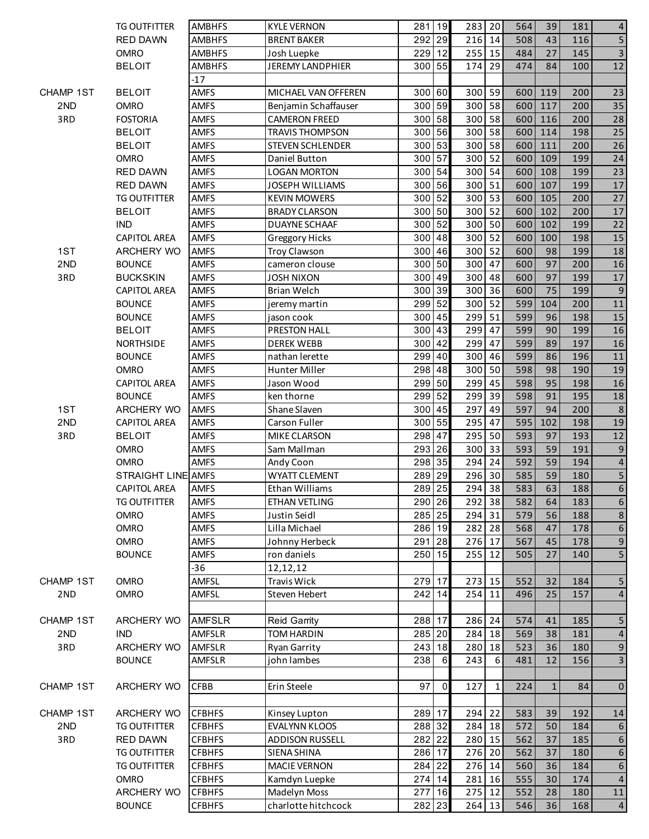|                  | <b>TG OUTFITTER</b> | <b>AMBHFS</b> | <b>KYLE VERNON</b>      | 281      | 19             | 283 20   |    | 564 | 39           | 181 | $\overline{4}$          |
|------------------|---------------------|---------------|-------------------------|----------|----------------|----------|----|-----|--------------|-----|-------------------------|
|                  | <b>RED DAWN</b>     | <b>AMBHFS</b> | <b>BRENT BAKER</b>      | 292      | 29             | 216 14   |    | 508 | 43           | 116 | 5                       |
|                  | OMRO                | <b>AMBHFS</b> | Josh Luepke             | 229 12   |                | 255 15   |    | 484 | 27           | 145 | $\overline{3}$          |
|                  | <b>BELOIT</b>       | <b>AMBHFS</b> | JEREMY LANDPHIER        | 300 55   |                | 174 29   |    | 474 | 84           | 100 | 12                      |
|                  |                     | $-17$         |                         |          |                |          |    |     |              |     |                         |
| <b>CHAMP 1ST</b> | <b>BELOIT</b>       | <b>AMFS</b>   | MICHAEL VAN OFFEREN     | 300      | 60             | 300 59   |    | 600 | 119          | 200 | 23                      |
| 2ND              | <b>OMRO</b>         | <b>AMFS</b>   | Benjamin Schaffauser    | 300      | 59             | 300 58   |    | 600 | 117          | 200 | 35                      |
| 3RD              | <b>FOSTORIA</b>     | <b>AMFS</b>   | <b>CAMERON FREED</b>    | 300      | 58             | 300 58   |    | 600 | 116          | 200 | 28                      |
|                  | <b>BELOIT</b>       | <b>AMFS</b>   | <b>TRAVIS THOMPSON</b>  | 300      | 56             | 300 58   |    | 600 | 114          | 198 | 25                      |
|                  | <b>BELOIT</b>       | <b>AMFS</b>   | <b>STEVEN SCHLENDER</b> | 300      | 53             | 300 58   |    | 600 | 111          | 200 | 26                      |
|                  | <b>OMRO</b>         | <b>AMFS</b>   | Daniel Button           | 300 57   |                | 300 52   |    | 600 | 109          | 199 | 24                      |
|                  | <b>RED DAWN</b>     | <b>AMFS</b>   | <b>LOGAN MORTON</b>     | 300 54   |                | 300 54   |    | 600 | 108          | 199 | 23                      |
|                  | RED DAWN            | <b>AMFS</b>   | <b>JOSEPH WILLIAMS</b>  | 300 56   |                | 300 51   |    | 600 | 107          | 199 | 17                      |
|                  | <b>TG OUTFITTER</b> | <b>AMFS</b>   | <b>KEVIN MOWERS</b>     | 300 52   |                | 300 53   |    | 600 | 105          | 200 | 27                      |
|                  | <b>BELOIT</b>       | <b>AMFS</b>   | <b>BRADY CLARSON</b>    | 300 50   |                | 300 52   |    | 600 | 102          | 200 | 17                      |
|                  | <b>IND</b>          | <b>AMFS</b>   | DUAYNE SCHAAF           | 300      | 52             | 300 50   |    | 600 | 102          | 199 | 22                      |
|                  | <b>CAPITOL AREA</b> | <b>AMFS</b>   | <b>Greggory Hicks</b>   | 300      | 48             | 300 52   |    | 600 | 100          | 198 | 15                      |
| 1ST              | ARCHERY WO          | <b>AMFS</b>   | <b>Troy Clawson</b>     | 300      | 46             | 300 52   |    | 600 | 98           | 199 | 18                      |
| 2ND              | <b>BOUNCE</b>       | <b>AMFS</b>   | cameron clouse          | 300      | 50             | 300      | 47 | 600 | 97           | 200 | 16                      |
| 3RD              | <b>BUCKSKIN</b>     | <b>AMFS</b>   | <b>JOSH NIXON</b>       | 300      | 49             | 300 48   |    | 600 | 97           | 199 | 17                      |
|                  | <b>CAPITOL AREA</b> | <b>AMFS</b>   | <b>Brian Welch</b>      | 300      | 39             | 300 36   |    | 600 | 75           | 199 | $\boldsymbol{9}$        |
|                  | <b>BOUNCE</b>       | <b>AMFS</b>   | jeremy martin           | 299      | 52             | 300 52   |    | 599 | 104          | 200 | 11                      |
|                  | <b>BOUNCE</b>       | <b>AMFS</b>   | jason cook              | 300      | 45             | 299 51   |    | 599 | 96           | 198 | 15                      |
|                  | <b>BELOIT</b>       | <b>AMFS</b>   | PRESTON HALL            | 300      | 43             | 299 47   |    | 599 | 90           | 199 | 16                      |
|                  | <b>NORTHSIDE</b>    | <b>AMFS</b>   | <b>DEREK WEBB</b>       | $300$ 42 |                | $299$ 47 |    | 599 | 89           | 197 | 16                      |
|                  | <b>BOUNCE</b>       | <b>AMFS</b>   | nathan lerette          | 299 40   |                | 300 46   |    | 599 | 86           | 196 | 11                      |
|                  | <b>OMRO</b>         | <b>AMFS</b>   | Hunter Miller           | 298 48   |                | 300 50   |    | 598 | 98           | 190 | 19                      |
|                  | <b>CAPITOL AREA</b> | <b>AMFS</b>   | Jason Wood              | 299 50   |                | $299$ 45 |    | 598 | 95           | 198 | 16                      |
|                  | <b>BOUNCE</b>       | <b>AMFS</b>   | ken thorne              | 299 52   |                | $299$ 39 |    | 598 | 91           | 195 | 18                      |
| 1ST              | ARCHERY WO          | AMFS          | Shane Slaven            | 300      | 45             | 297 49   |    | 597 | 94           | 200 | $8\phantom{1}$          |
| 2ND              | <b>CAPITOL AREA</b> | AMFS          | Carson Fuller           | 300      | 55             | 295      | 47 | 595 | 102          | 198 | 19                      |
| 3RD              | <b>BELOIT</b>       | <b>AMFS</b>   | MIKE CLARSON            | 298      | 47             | 295      | 50 | 593 | 97           | 193 | 12                      |
|                  | OMRO                | <b>AMFS</b>   | Sam Mallman             | 293      | 26             | 300 33   |    | 593 | 59           | 191 | 9                       |
|                  | <b>OMRO</b>         | AMFS          | Andy Coon               | 298 35   |                | 294 24   |    | 592 | 59           | 194 | $\overline{4}$          |
|                  | STRAIGHT LINE AMFS  |               | <b>WYATT CLEMENT</b>    | 289      | 29             | 296 30   |    | 585 | 59           | 180 | 5                       |
|                  | <b>CAPITOL AREA</b> | <b>AMFS</b>   | Ethan Williams          | 289 25   |                | 294 38   |    | 583 | 63           | 188 | 6                       |
|                  | <b>TG OUTFITTER</b> | <b>AMFS</b>   | ETHAN VETLING           | 290 26   |                | 292 38   |    | 582 | 64           | 183 | $\boldsymbol{6}$        |
|                  | <b>OMRO</b>         | <b>AMFS</b>   | Justin Seidl            | 285 25   |                | 294 31   |    | 579 | 56           | 188 | $\bf 8$                 |
|                  | <b>OMRO</b>         | <b>AMFS</b>   | Lilla Michael           | 286 19   |                | 282 28   |    | 568 | 47           | 178 | $\boldsymbol{6}$        |
|                  | <b>OMRO</b>         | <b>AMFS</b>   | Johnny Herbeck          | 291 28   |                | 276 17   |    | 567 | 45           | 178 | $\boldsymbol{9}$        |
|                  | <b>BOUNCE</b>       | <b>AMFS</b>   | ron daniels             | 250 15   |                | 255 12   |    | 505 | 27           | 140 | $\sqrt{5}$              |
|                  |                     | $-36$         | 12,12,12                |          |                |          |    |     |              |     |                         |
| <b>CHAMP 1ST</b> | <b>OMRO</b>         | AMFSL         | Travis Wick             | 279 17   |                | 273 15   |    | 552 | 32           | 184 | 5                       |
| 2 <sub>ND</sub>  | <b>OMRO</b>         | AMFSL         | Steven Hebert           | 242 14   |                | 254 11   |    | 496 | 25           | 157 | $\overline{4}$          |
|                  |                     |               |                         |          |                |          |    |     |              |     |                         |
| CHAMP 1ST        | ARCHERY WO          | <b>AMFSLR</b> | <b>Reid Garrity</b>     | 288      | 17             | 286 24   |    | 574 | 41           | 185 | 5                       |
| 2ND              | <b>IND</b>          | AMFSLR        | <b>TOM HARDIN</b>       | 285 20   |                | 284 18   |    | 569 | 38           | 181 | $\overline{4}$          |
| 3RD              | ARCHERY WO          | AMFSLR        | <b>Ryan Garrity</b>     | 243      | 18             | 280      | 18 | 523 | 36           | 180 | $9\,$                   |
|                  | <b>BOUNCE</b>       | AMFSLR        | john lambes             | 238      | 6              | 243      | 6  | 481 | 12           | 156 | $\overline{\mathbf{3}}$ |
|                  |                     |               |                         |          |                |          |    |     |              |     |                         |
| <b>CHAMP 1ST</b> | ARCHERY WO          | <b>CFBB</b>   | Erin Steele             | 97       | $\overline{0}$ | 127      | 1  | 224 | $\mathbf{1}$ | 84  | $\pmb{0}$               |
|                  |                     |               |                         |          |                |          |    |     |              |     |                         |
| <b>CHAMP 1ST</b> | ARCHERY WO          | <b>CFBHFS</b> | Kinsey Lupton           | 289 17   |                | 294 22   |    | 583 | 39           | 192 | 14                      |
| 2ND              | <b>TG OUTFITTER</b> | <b>CFBHFS</b> | EVALYNN KLOOS           | 288 32   |                | 284 18   |    | 572 | 50           | 184 | 6                       |
| 3RD              | RED DAWN            | <b>CFBHFS</b> | <b>ADDISON RUSSELL</b>  | 282 22   |                | 280 15   |    | 562 | 37           | 185 | $\sqrt{6}$              |
|                  | <b>TG OUTFITTER</b> | <b>CFBHFS</b> | SIENA SHINA             | 286 17   |                | 276 20   |    | 562 | 37           | 180 | $\sqrt{6}$              |
|                  | <b>TG OUTFITTER</b> | <b>CFBHFS</b> | <b>MACIE VERNON</b>     | 284      | 22             | 276 14   |    | 560 | 36           | 184 | $6\phantom{a}$          |
|                  | <b>OMRO</b>         | <b>CFBHFS</b> | Kamdyn Luepke           | 274 14   |                | 281 16   |    | 555 | 30           | 174 | $\overline{4}$          |
|                  | <b>ARCHERY WO</b>   | <b>CFBHFS</b> | Madelyn Moss            | 277      | 16             | 275 12   |    | 552 | 28           | 180 | 11                      |
|                  | <b>BOUNCE</b>       | <b>CFBHFS</b> | charlotte hitchcock     | 282 23   |                | 264 13   |    | 546 | 36           | 168 | $\overline{4}$          |
|                  |                     |               |                         |          |                |          |    |     |              |     |                         |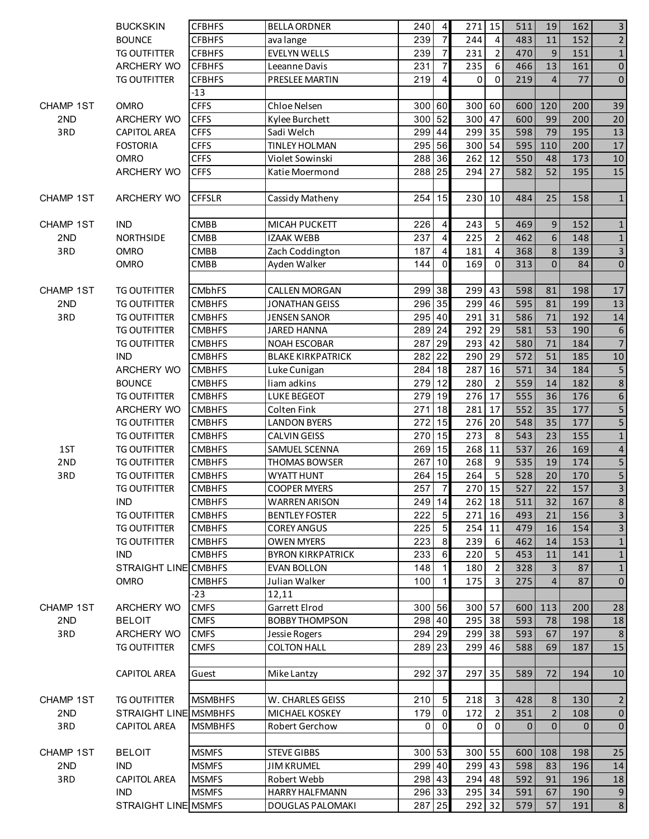|                        | <b>BUCKSKIN</b>                            | <b>CFBHFS</b>                  | <b>BELLA ORDNER</b>            | 240        | $\vert$          | 271 15      |                         | 511          | 19             | 162        | $\overline{\mathbf{3}}$                   |
|------------------------|--------------------------------------------|--------------------------------|--------------------------------|------------|------------------|-------------|-------------------------|--------------|----------------|------------|-------------------------------------------|
|                        | <b>BOUNCE</b>                              | <b>CFBHFS</b>                  | ava lange                      | 239        | $\overline{7}$   | 244         | $\overline{\mathbf{4}}$ | 483          | 11             | 152        | $\overline{2}$                            |
|                        | <b>TG OUTFITTER</b>                        | <b>CFBHFS</b>                  | <b>EVELYN WELLS</b>            | 239        | $\overline{7}$   | 231         | $\overline{2}$          | 470          | 9              | 151        | $1\,$                                     |
|                        | ARCHERY WO                                 | <b>CFBHFS</b>                  | Leeanne Davis                  | 231        | $\overline{7}$   | 235         | 6                       | 466          | 13             | 161        | $\mathsf{O}\xspace$                       |
|                        | <b>TG OUTFITTER</b>                        | <b>CFBHFS</b>                  | PRESLEE MARTIN                 | 219        | 4                | 0           | $\Omega$                | 219          | $\overline{4}$ | 77         | $\pmb{0}$                                 |
|                        |                                            | $-13$                          |                                |            |                  |             |                         |              |                |            |                                           |
| <b>CHAMP 1ST</b>       | <b>OMRO</b>                                | <b>CFFS</b>                    | Chloe Nelsen                   | 300        | 60               | 300 60      |                         | 600          | 120            | 200        | 39                                        |
| 2ND                    | <b>ARCHERY WO</b>                          | <b>CFFS</b>                    | Kylee Burchett                 | 300        | 52               | 300 47      |                         | 600          | 99             | 200        | 20                                        |
| 3RD                    | <b>CAPITOL AREA</b>                        | <b>CFFS</b>                    | Sadi Welch                     | 299        | 44               | 299 35      |                         | 598          | 79             | 195        | 13                                        |
|                        | <b>FOSTORIA</b>                            | <b>CFFS</b>                    | <b>TINLEY HOLMAN</b>           | 295 56     |                  | 300 54      |                         | 595          | 110            | 200        | 17                                        |
|                        | <b>OMRO</b>                                | <b>CFFS</b>                    | Violet Sowinski                | 288 36     |                  | 262 12      |                         | 550          | 48             | 173        | 10                                        |
|                        | ARCHERY WO                                 | <b>CFFS</b>                    | Katie Moermond                 | 288 25     |                  | 294         | 27                      | 582          | 52             | 195        | 15                                        |
| <b>CHAMP 1ST</b>       | ARCHERY WO                                 | <b>CFFSLR</b>                  | Cassidy Matheny                | 254        | 15               | 230 10      |                         | 484          | 25             | 158        | $\mathbf{1}$                              |
| <b>CHAMP 1ST</b>       | <b>IND</b>                                 | <b>CMBB</b>                    | MICAH PUCKETT                  | 226        | $\overline{4}$   | 243         | 5                       | 469          | 9              | 152        | $\mathbf{1}$                              |
| 2ND                    | <b>NORTHSIDE</b>                           | <b>CMBB</b>                    | <b>IZAAK WEBB</b>              | 237        | $\vert$          | 225         | $\overline{2}$          | 462          | 6              | 148        | $\mathbf 1$                               |
| 3RD                    | <b>OMRO</b>                                | <b>CMBB</b>                    | Zach Coddington                | 187        | $\overline{4}$   | 181         | 4                       | 368          | 8              | 139        | $\overline{3}$                            |
|                        | <b>OMRO</b>                                | <b>CMBB</b>                    | Ayden Walker                   | 144        | $\Omega$         | 169         | $\Omega$                | 313          | $\Omega$       | 84         | $\pmb{0}$                                 |
|                        |                                            |                                |                                |            |                  |             |                         |              |                |            |                                           |
| CHAMP 1ST              | <b>TG OUTFITTER</b>                        | <b>CMbhFS</b>                  | <b>CALLEN MORGAN</b>           | 299 38     |                  | 299 43      |                         | 598          | 81             | 198        | 17                                        |
| 2ND                    | <b>TG OUTFITTER</b>                        | <b>CMBHFS</b>                  | <b>JONATHAN GEISS</b>          | 296 35     |                  | 299         | 46                      | 595          | 81             | 199        | 13                                        |
| 3RD                    | <b>TG OUTFITTER</b>                        | <b>CMBHFS</b>                  | <b>JENSEN SANOR</b>            | 295 40     |                  | 291 31      |                         | 586          | 71             | 192        | 14                                        |
|                        | <b>TG OUTFITTER</b>                        | <b>CMBHFS</b>                  | <b>JARED HANNA</b>             | 289 24     |                  | 292 29      |                         | 581          | 53             | 190        | $\boldsymbol{6}$                          |
|                        | <b>TG OUTFITTER</b>                        | <b>CMBHFS</b>                  | <b>NOAH ESCOBAR</b>            | 287        | 29               | 293   42    |                         | 580          | 71             | 184        | $\overline{7}$                            |
|                        | <b>IND</b>                                 | <b>CMBHFS</b>                  | <b>BLAKE KIRKPATRICK</b>       | 282        | 22               | 290 29      |                         | 572          | 51             | 185        | 10                                        |
|                        | ARCHERY WO                                 | <b>CMBHFS</b>                  | Luke Cunigan                   | 284 18     |                  | 287         | 16                      | 571          | 34             | 184        | 5                                         |
|                        | <b>BOUNCE</b>                              | <b>CMBHFS</b>                  | liam adkins                    | 279        | 12               | 280         | $\overline{2}$          | 559          | 14             | 182        | $\bf 8$                                   |
|                        | <b>TG OUTFITTER</b>                        | <b>CMBHFS</b>                  | <b>LUKE BEGEOT</b>             | 279        | 19               | 276 17      |                         | 555          | 36             | 176        | $\overline{6}$                            |
|                        | <b>ARCHERY WO</b>                          | <b>CMBHFS</b>                  | Colten Fink                    | 271        | 18               | 281 17      |                         | 552          | 35             | 177        | $\overline{5}$                            |
|                        | <b>TG OUTFITTER</b>                        | <b>CMBHFS</b>                  | <b>LANDON BYERS</b>            | 272        | 15<br>15         | 276         | 20                      | 548          | 35             | 177        | $\overline{5}$                            |
|                        | <b>TG OUTFITTER</b>                        | <b>CMBHFS</b>                  | <b>CALVIN GEISS</b>            | 270<br>269 | 15               | 273<br>268  | 8<br>11                 | 543<br>537   | 23<br>26       | 155<br>169 | $\mathbf 1$                               |
| 1ST<br>2 <sub>ND</sub> | <b>TG OUTFITTER</b><br><b>TG OUTFITTER</b> | <b>CMBHFS</b><br><b>CMBHFS</b> | SAMUEL SCENNA<br>THOMAS BOWSER | 267        | 10               | 268         | 9                       | 535          | 19             | 174        | $\overline{\mathbf{r}}$<br>$\overline{5}$ |
| 3RD                    | <b>TG OUTFITTER</b>                        | <b>CMBHFS</b>                  | WYATT HUNT                     | 264        | 15               | 264         | 5                       | 528          | 20             | 170        | 5                                         |
|                        | <b>TG OUTFITTER</b>                        | <b>CMBHFS</b>                  | <b>COOPER MYERS</b>            | 257        | $\overline{7}$   | 270 15      |                         | 527          | 22             | 157        | $\overline{\mathbf{3}}$                   |
|                        | <b>IND</b>                                 | <b>CMBHFS</b>                  | <b>WARREN ARISON</b>           | 249 14     |                  | $262$ 18    |                         | 511          | 32             | 167        | 8                                         |
|                        | <b>TG OUTFITTER</b>                        | <b>CMBHFS</b>                  | <b>BENTLEY FOSTER</b>          | 222        | $\overline{5}$   | $271$ 16    |                         | 493          | 21             | 156        | $\overline{3}$                            |
|                        | <b>TG OUTFITTER</b>                        | <b>CMBHFS</b>                  | <b>COREY ANGUS</b>             | 225        | 5 <sub>5</sub>   | 254 11      |                         | 479          | 16             | 154        | $\overline{3}$                            |
|                        | <b>TG OUTFITTER</b>                        | <b>CMBHFS</b>                  | <b>OWEN MYERS</b>              | 223        | $\boldsymbol{8}$ | 239         | 6                       | 462          | 14             | 153        | $\mathbf 1$                               |
|                        | <b>IND</b>                                 | <b>CMBHFS</b>                  | <b>BYRON KIRKPATRICK</b>       | 233        | 6                | 220         | 5                       | 453          | 11             | 141        | $\mathbf{1}$                              |
|                        | STRAIGHT LINE CMBHFS                       |                                | <b>EVAN BOLLON</b>             | 148        | 1 <sup>1</sup>   | 180         | $\overline{2}$          | 328          | $\overline{3}$ | 87         | $\mathbf{1}$                              |
|                        | <b>OMRO</b>                                | <b>CMBHFS</b>                  | Julian Walker                  | 100        | $\mathbf{1}$     | 175         | 3                       | 275          | $\overline{4}$ | 87         | $\mathbf 0$                               |
|                        |                                            | -23                            | 12,11                          |            |                  |             |                         |              |                |            |                                           |
| CHAMP 1ST              | ARCHERY WO                                 | <b>CMFS</b>                    | Garrett Elrod                  | 300 56     |                  | 300 57      |                         | 600          | 113            | 200        | 28                                        |
| 2ND                    | <b>BELOIT</b>                              | <b>CMFS</b>                    | <b>BOBBY THOMPSON</b>          | 298 40     |                  | 295 38      |                         | 593          | 78             | 198        | 18                                        |
| 3RD                    | <b>ARCHERY WO</b>                          | <b>CMFS</b>                    | Jessie Rogers                  | 294        | 29               | 299 38      |                         | 593          | 67             | 197        | $8\phantom{1}$                            |
|                        | TG OUTFITTER                               | <b>CMFS</b>                    | <b>COLTON HALL</b>             | 289        | 23               | 299         | 46                      | 588          | 69             | 187        | 15                                        |
|                        |                                            |                                |                                |            |                  |             |                         |              |                |            |                                           |
|                        | <b>CAPITOL AREA</b>                        | Guest                          | Mike Lantzy                    | 292 37     |                  | 297 35      |                         | 589          | 72             | 194        | 10                                        |
| CHAMP 1ST              | TG OUTFITTER                               | <b>MSMBHFS</b>                 | W. CHARLES GEISS               | 210        | $5\overline{)}$  | 218         | 3                       | 428          | 8              | 130        | $\overline{2}$                            |
| 2ND                    | STRAIGHT LINE MSMBHFS                      |                                | MICHAEL KOSKEY                 | 179        | $\overline{0}$   | 172         | $\overline{2}$          | 351          | $\overline{2}$ | 108        | $\mathbf{0}$                              |
| 3RD                    | <b>CAPITOL AREA</b>                        | <b>MSMBHFS</b>                 | Robert Gerchow                 | 0          | $\Omega$         | $\mathbf 0$ | 0                       | $\mathbf{0}$ | $\mathbf{0}$   | $\Omega$   | $\mathbf 0$                               |
|                        |                                            |                                |                                |            |                  |             |                         |              |                |            |                                           |
| CHAMP 1ST              | <b>BELOIT</b>                              | <b>MSMFS</b>                   | <b>STEVE GIBBS</b>             | 300 53     |                  | 300 55      |                         | 600          | 108            | 198        | 25                                        |
| 2ND                    | IND                                        | <b>MSMFS</b>                   | <b>JIM KRUMEL</b>              | 299 40     |                  | $299$ 43    |                         | 598          | 83             | 196        | 14                                        |
| 3RD                    | <b>CAPITOL AREA</b>                        | <b>MSMFS</b>                   | Robert Webb                    | 298 43     |                  | 294 48      |                         | 592          | 91             | 196        | 18                                        |
|                        | <b>IND</b>                                 | <b>MSMFS</b>                   | HARRY HALFMANN                 | 296 33     |                  | 295 34      |                         | 591          | 67             | 190        | $9\,$                                     |
|                        | STRAIGHT LINE MSMFS                        |                                | <b>DOUGLAS PALOMAKI</b>        | 287        | 25               | 292 32      |                         | 579          | 57             | 191        | $\bf 8$                                   |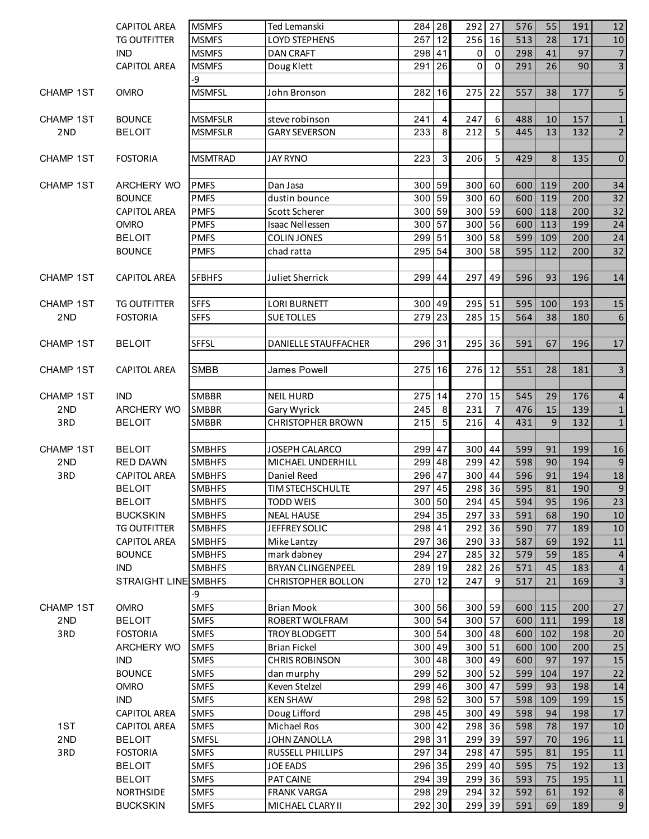|                  | <b>CAPITOL AREA</b>  | <b>MSMFS</b>   | Ted Lemanski              | 284 28           |                  | 292 27              |                | 576 | 55      | 191 | 12                      |
|------------------|----------------------|----------------|---------------------------|------------------|------------------|---------------------|----------------|-----|---------|-----|-------------------------|
|                  | <b>TG OUTFITTER</b>  | <b>MSMFS</b>   | <b>LOYD STEPHENS</b>      | 257 12           |                  | 256 16              |                | 513 | 28      | 171 | 10                      |
|                  | <b>IND</b>           | <b>MSMFS</b>   | <b>DAN CRAFT</b>          | 298 41           |                  | 0                   | $\mathbf 0$    | 298 | 41      | 97  | $\overline{7}$          |
|                  | <b>CAPITOL AREA</b>  | <b>MSMFS</b>   | Doug Klett                | 291 26           |                  | 0                   | $\mathbf{0}$   | 291 | 26      | 90  | $\overline{3}$          |
|                  |                      | -9             |                           |                  |                  |                     |                |     |         |     |                         |
| <b>CHAMP 1ST</b> | <b>OMRO</b>          | <b>MSMFSL</b>  | John Bronson              | 282              | 16               | 275 22              |                | 557 | 38      | 177 | $\overline{\mathbf{5}}$ |
|                  |                      |                |                           |                  |                  |                     |                |     |         |     |                         |
| CHAMP 1ST        | <b>BOUNCE</b>        | <b>MSMFSLR</b> | steve robinson            | 241              | $\overline{4}$   | 247                 | 6              | 488 | 10      | 157 | $\mathbf{1}$            |
| 2 <sub>ND</sub>  | <b>BELOIT</b>        | <b>MSMFSLR</b> | <b>GARY SEVERSON</b>      | 233              | $\boldsymbol{8}$ | 212                 | 5              | 445 | 13      | 132 | $\overline{2}$          |
|                  |                      |                |                           |                  |                  |                     |                |     |         |     |                         |
|                  |                      |                |                           |                  |                  |                     |                |     |         |     |                         |
| <b>CHAMP 1ST</b> | <b>FOSTORIA</b>      | <b>MSMTRAD</b> | <b>JAY RYNO</b>           | 223              | $\overline{3}$   | 206                 | 5              | 429 | 8       | 135 | $\pmb{0}$               |
|                  |                      |                |                           |                  |                  |                     |                |     |         |     |                         |
| <b>CHAMP 1ST</b> | ARCHERY WO           | <b>PMFS</b>    | Dan Jasa                  | 300 59           |                  | 300 60              |                |     | 600 119 | 200 | 34                      |
|                  | <b>BOUNCE</b>        | <b>PMFS</b>    | dustin bounce             | 300 59           |                  | 300 60              |                | 600 | 119     | 200 | 32                      |
|                  | <b>CAPITOL AREA</b>  | <b>PMFS</b>    | Scott Scherer             | 300 59           |                  | 300 59              |                | 600 | 118     | 200 | 32                      |
|                  | <b>OMRO</b>          | <b>PMFS</b>    | <b>Isaac Nellessen</b>    | 300 57           |                  | 300 56              |                | 600 | 113     | 199 | 24                      |
|                  | <b>BELOIT</b>        | <b>PMFS</b>    | <b>COLIN JONES</b>        | 299 51           |                  | 300 58              |                | 599 | 109     | 200 | 24                      |
|                  | <b>BOUNCE</b>        | <b>PMFS</b>    | chad ratta                | 295 54           |                  | 300 58              |                | 595 | 112     | 200 | 32                      |
|                  |                      |                |                           |                  |                  |                     |                |     |         |     |                         |
| CHAMP 1ST        | <b>CAPITOL AREA</b>  | <b>SFBHFS</b>  | Juliet Sherrick           | 299 44           |                  | 297 49              |                | 596 | 93      | 196 | 14                      |
|                  |                      |                |                           |                  |                  |                     |                |     |         |     |                         |
| <b>CHAMP 1ST</b> | <b>TG OUTFITTER</b>  | <b>SFFS</b>    | <b>LORI BURNETT</b>       | 300 49           |                  | 295 51              |                | 595 | 100     | 193 | 15                      |
| 2ND              | <b>FOSTORIA</b>      | <b>SFFS</b>    | <b>SUE TOLLES</b>         | 279 23           |                  | $285 \overline{15}$ |                | 564 | 38      | 180 | $\sqrt{6}$              |
|                  |                      |                |                           |                  |                  |                     |                |     |         |     |                         |
|                  |                      |                |                           |                  |                  |                     |                |     |         |     |                         |
| <b>CHAMP 1ST</b> | <b>BELOIT</b>        | <b>SFFSL</b>   | DANIELLE STAUFFACHER      | 296 31           |                  | 295 36              |                | 591 | 67      | 196 | 17                      |
|                  |                      |                |                           |                  |                  |                     |                |     |         |     |                         |
| CHAMP 1ST        | <b>CAPITOL AREA</b>  | SMBB           | James Powell              | 275 16           |                  | 276 12              |                | 551 | 28      | 181 | $\mathbf{3}$            |
|                  |                      |                |                           |                  |                  |                     |                |     |         |     |                         |
| CHAMP 1ST        | <b>IND</b>           | <b>SMBBR</b>   | <b>NEIL HURD</b>          | 275 14           |                  | 270 15              |                | 545 | 29      | 176 | $\overline{a}$          |
| 2ND              | <b>ARCHERY WO</b>    | SMBBR          | Gary Wyrick               | 245              | 8                | 231                 | $\overline{7}$ | 476 | 15      | 139 | $\mathbf 1$             |
| 3RD              | <b>BELOIT</b>        | SMBBR          | <b>CHRISTOPHER BROWN</b>  | 215              | 5 <sub>l</sub>   | 216                 | 4              | 431 | 9       | 132 | $\mathbf 1$             |
|                  |                      |                |                           |                  |                  |                     |                |     |         |     |                         |
| CHAMP 1ST        | <b>BELOIT</b>        | <b>SMBHFS</b>  | JOSEPH CALARCO            | 299 47           |                  | 300 44              |                | 599 | 91      | 199 | 16                      |
| 2ND              | RED DAWN             | <b>SMBHFS</b>  | MICHAEL UNDERHILL         | 299 48           |                  | 299 42              |                | 598 | 90      | 194 | $\boldsymbol{9}$        |
| 3RD              | <b>CAPITOL AREA</b>  | <b>SMBHFS</b>  | Daniel Reed               | 296 47           |                  | 300 44              |                | 596 | 91      | 194 | 18                      |
|                  | <b>BELOIT</b>        | <b>SMBHFS</b>  | <b>TIM STECHSCHULTE</b>   | 297 45           |                  | 298 36              |                | 595 | 81      | 190 | $\boldsymbol{9}$        |
|                  | <b>BELOIT</b>        | <b>SMBHFS</b>  | <b>TODD WEIS</b>          | 300 50           |                  | 294 45              |                | 594 | 95      | 196 | 23                      |
|                  | <b>BUCKSKIN</b>      | <b>SMBHFS</b>  | <b>NEAL HAUSE</b>         | 294 35           |                  | 297 33              |                | 591 | 68      | 190 | 10                      |
|                  |                      |                |                           |                  |                  |                     |                |     |         |     |                         |
|                  | <b>TG OUTFITTER</b>  | <b>SMBHFS</b>  | JEFFREY SOLIC             | 298 41           |                  | 292 36              |                | 590 | 77      | 189 | 10                      |
|                  | <b>CAPITOL AREA</b>  | <b>SMBHFS</b>  | Mike Lantzy               | 297 36           |                  | 290 33              |                | 587 | 69      | 192 | 11                      |
|                  | <b>BOUNCE</b>        | <b>SMBHFS</b>  | mark dabney               | 294 27           |                  | 285 32              |                | 579 | 59      | 185 | $\overline{4}$          |
|                  | <b>IND</b>           | <b>SMBHFS</b>  | <b>BRYAN CLINGENPEEL</b>  | 289 19           |                  | 282 26              |                | 571 | 45      | 183 | $\overline{4}$          |
|                  | STRAIGHT LINE SMBHFS |                | <b>CHRISTOPHER BOLLON</b> | 270 12           |                  | 247                 | 9              | 517 | 21      | 169 | $\mathbf{3}$            |
|                  |                      | -9             |                           |                  |                  |                     |                |     |         |     |                         |
| <b>CHAMP 1ST</b> | <b>OMRO</b>          | <b>SMFS</b>    | <b>Brian Mook</b>         | 300 56           |                  | 300 59              |                | 600 | 115     | 200 | 27                      |
| 2ND              | <b>BELOIT</b>        | <b>SMFS</b>    | ROBERT WOLFRAM            | 300 54           |                  | 300 57              |                | 600 | 111     | 199 | 18                      |
| 3RD              | <b>FOSTORIA</b>      | <b>SMFS</b>    | <b>TROY BLODGETT</b>      | 300 54           |                  | 300 48              |                | 600 | 102     | 198 | 20                      |
|                  |                      |                |                           |                  |                  |                     |                |     |         |     | 25                      |
|                  |                      |                |                           |                  |                  |                     |                |     |         |     |                         |
|                  | ARCHERY WO           | <b>SMFS</b>    | <b>Brian Fickel</b>       | 300 49           |                  | 300 51              |                |     | 600 100 | 200 |                         |
|                  | <b>IND</b>           | <b>SMFS</b>    | <b>CHRIS ROBINSON</b>     | 300 48           |                  | 300 49              |                | 600 | 97      | 197 | 15                      |
|                  | <b>BOUNCE</b>        | <b>SMFS</b>    | dan murphy                | 299 52           |                  | 300 52              |                | 599 | 104     | 197 | 22                      |
|                  | OMRO                 | <b>SMFS</b>    | Keven Stelzel             | 299 46           |                  | 300 47              |                | 599 | 93      | 198 | 14                      |
|                  | <b>IND</b>           | <b>SMFS</b>    | <b>KEN SHAW</b>           | 298 52           |                  | 300 57              |                | 598 | 109     | 199 | 15                      |
|                  | <b>CAPITOL AREA</b>  | <b>SMFS</b>    | Doug Lifford              | 298 45           |                  | 300 49              |                | 598 | 94      | 198 | 17                      |
| 1ST              | <b>CAPITOL AREA</b>  | <b>SMFS</b>    | Michael Ros               | 300 42           |                  | 298 36              |                | 598 | 78      | 197 | 10                      |
| 2ND              | <b>BELOIT</b>        | <b>SMFSL</b>   | <b>JOHN ZANOLLA</b>       | 298 31           |                  | 299 39              |                | 597 | 70      | 196 | 11                      |
| 3RD              | <b>FOSTORIA</b>      | <b>SMFS</b>    | RUSSELL PHILLIPS          | 297              | 34               | 298                 | 47             | 595 | 81      | 195 | 11                      |
|                  | <b>BELOIT</b>        | <b>SMFS</b>    | <b>JOE EADS</b>           | 296 35           |                  | 299                 | 40             | 595 | 75      | 192 | 13                      |
|                  | <b>BELOIT</b>        | <b>SMFS</b>    | PAT CAINE                 | 294 39           |                  | 299 36              |                | 593 | 75      | 195 | 11                      |
|                  | <b>NORTHSIDE</b>     | <b>SMFS</b>    | <b>FRANK VARGA</b>        | 298 29<br>292 30 |                  | 294 32<br>299 39    |                | 592 | 61      | 192 | 8<br>$\boldsymbol{9}$   |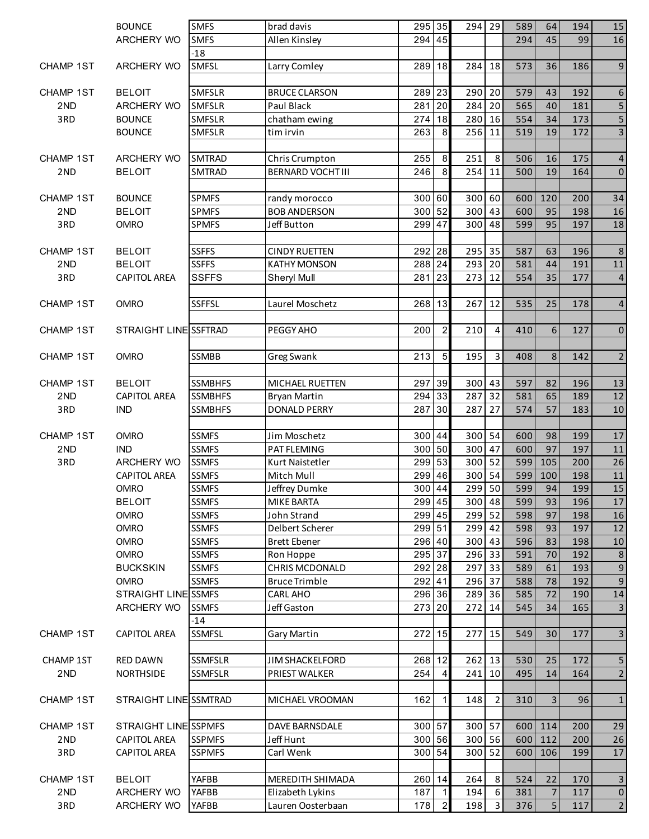|                         | <b>BOUNCE</b>                | <b>SMFS</b>    | brad davis               | 295 35 |                  | 294 29              |                         | 589 | 64             | 194 | 15                      |
|-------------------------|------------------------------|----------------|--------------------------|--------|------------------|---------------------|-------------------------|-----|----------------|-----|-------------------------|
|                         | <b>ARCHERY WO</b>            | <b>SMFS</b>    | Allen Kinsley            | 294 45 |                  |                     |                         | 294 | 45             | 99  | 16                      |
|                         |                              | $-18$          |                          |        |                  |                     |                         |     |                |     |                         |
| <b>CHAMP 1ST</b>        | <b>ARCHERY WO</b>            | SMFSL          | Larry Comley             | 289 18 |                  | 284 18              |                         | 573 | 36             | 186 | $9\,$                   |
|                         |                              |                |                          |        |                  |                     |                         |     |                |     |                         |
| <b>CHAMP 1ST</b>        | <b>BELOIT</b>                | <b>SMFSLR</b>  | <b>BRUCE CLARSON</b>     | 289    | 23               | 290                 | 20                      | 579 | 43             | 192 | $\boldsymbol{6}$        |
| 2ND                     | <b>ARCHERY WO</b>            | <b>SMFSLR</b>  | Paul Black               | 281    | 20               | 284                 | 20                      | 565 | 40             | 181 | $\overline{5}$          |
| 3RD                     | <b>BOUNCE</b>                | <b>SMFSLR</b>  | chatham ewing            | 274    | 18               | 280                 | 16                      | 554 | 34             | 173 | $\overline{5}$          |
|                         | <b>BOUNCE</b>                | <b>SMFSLR</b>  | tim irvin                | 263    | 8                | 256 11              |                         | 519 | 19             | 172 | $\overline{\mathbf{3}}$ |
|                         |                              |                |                          |        |                  |                     |                         |     |                |     |                         |
| <b>CHAMP 1ST</b>        | ARCHERY WO                   | <b>SMTRAD</b>  | Chris Crumpton           | 255    | 8                | 251                 | 8                       | 506 | 16             | 175 | $\overline{4}$          |
| 2 <sub>ND</sub>         | <b>BELOIT</b>                | <b>SMTRAD</b>  | <b>BERNARD VOCHT III</b> | 246    | $\boldsymbol{8}$ | 254 11              |                         | 500 | 19             | 164 | $\mathbf 0$             |
| <b>CHAMP 1ST</b>        | <b>BOUNCE</b>                | <b>SPMFS</b>   | randy morocco            | 300 60 |                  | 300 60              |                         | 600 | 120            | 200 | 34                      |
| 2ND                     | <b>BELOIT</b>                | <b>SPMFS</b>   | <b>BOB ANDERSON</b>      | 300    | 52               | 300 43              |                         | 600 | 95             | 198 | 16                      |
| 3RD                     | <b>OMRO</b>                  | <b>SPMFS</b>   | Jeff Button              | 299    | 47               | 300 48              |                         | 599 | 95             | 197 | 18                      |
|                         |                              |                |                          |        |                  |                     |                         |     |                |     |                         |
| CHAMP 1ST               | <b>BELOIT</b>                | <b>SSFFS</b>   | <b>CINDY RUETTEN</b>     | 292 28 |                  | 295 35              |                         | 587 | 63             | 196 | $8\phantom{1}$          |
| 2ND                     | <b>BELOIT</b>                | <b>SSFFS</b>   | <b>KATHY MONSON</b>      | 288 24 |                  | 293                 | 20                      | 581 | 44             | 191 | $11\,$                  |
| 3RD                     | <b>CAPITOL AREA</b>          | <b>SSFFS</b>   | Sheryl Mull              | 281    | 23               | 273                 | 12                      | 554 | 35             | 177 | $\overline{4}$          |
|                         |                              |                |                          |        |                  |                     |                         |     |                |     |                         |
| <b>CHAMP 1ST</b>        | <b>OMRO</b>                  | <b>SSFFSL</b>  | Laurel Moschetz          | 268 13 |                  | 267 12              |                         | 535 | 25             | 178 | $\overline{4}$          |
| <b>CHAMP 1ST</b>        | STRAIGHT LINE SSFTRAD        |                | PEGGY AHO                | 200    | $\overline{2}$   | 210                 | $\overline{4}$          | 410 | 6              | 127 | $\pmb{0}$               |
|                         |                              |                |                          |        |                  |                     |                         |     |                |     |                         |
| <b>CHAMP 1ST</b>        | <b>OMRO</b>                  | SSMBB          | Greg Swank               | 213    | $\overline{5}$   | 195                 | $\mathbf{3}$            | 408 | 8              | 142 | $\sqrt{2}$              |
|                         |                              |                |                          |        |                  |                     |                         |     |                |     |                         |
| <b>CHAMP 1ST</b>        | <b>BELOIT</b>                | <b>SSMBHFS</b> | <b>MICHAEL RUETTEN</b>   | 297    | 39               | $300 \overline{43}$ |                         | 597 | 82             | 196 | 13                      |
| 2ND                     | <b>CAPITOL AREA</b>          | <b>SSMBHFS</b> | <b>Bryan Martin</b>      | 294    | 33               | 287 32              |                         | 581 | 65             | 189 | 12                      |
| 3RD                     | <b>IND</b>                   | <b>SSMBHFS</b> | <b>DONALD PERRY</b>      | 287    | 30               | 287                 | 27                      | 574 | 57             | 183 | 10                      |
| CHAMP 1ST               | <b>OMRO</b>                  | <b>SSMFS</b>   | Jim Moschetz             | 300    | 44               | 300 54              |                         | 600 | 98             | 199 | 17                      |
| 2ND                     | <b>IND</b>                   | <b>SSMFS</b>   | PAT FLEMING              | 300    | 50               | 300                 | 47                      | 600 | 97             | 197 | 11                      |
| 3RD                     | ARCHERY WO                   | <b>SSMFS</b>   | Kurt Naistetler          | 299    | 53               | 300 52              |                         | 599 | 105            | 200 | 26                      |
|                         | <b>CAPITOL AREA</b>          | <b>SSMFS</b>   | Mitch Mull               | 299    | 46               | 300 54              |                         | 599 | 100            | 198 | 11                      |
|                         | <b>OMRO</b>                  | <b>SSMFS</b>   | Jeffrey Dumke            | 300    | 44               | 299 50              |                         | 599 | 94             | 199 | 15                      |
|                         | <b>BELOIT</b>                | <b>SSMFS</b>   | <b>MIKE BARTA</b>        | 299 45 |                  | $300$ 48            |                         | 599 | 93             | 196 | 17                      |
|                         | <b>OMRO</b>                  | <b>SSMFS</b>   | John Strand              | 299 45 |                  | 299 52              |                         | 598 | 97             | 198 | 16                      |
|                         | <b>OMRO</b>                  | <b>SSMFS</b>   | Delbert Scherer          | 299 51 |                  | 299 42              |                         | 598 | 93             | 197 | 12                      |
|                         | <b>OMRO</b>                  | <b>SSMFS</b>   | <b>Brett Ebener</b>      | 296 40 |                  | 300 43              |                         | 596 | 83             | 198 | 10                      |
|                         | OMRO                         | <b>SSMFS</b>   | Ron Hoppe                | 295 37 |                  | $296 \overline{33}$ |                         | 591 | 70             | 192 | $\bf 8$                 |
|                         | <b>BUCKSKIN</b>              | <b>SSMFS</b>   | CHRIS MCDONALD           | 292 28 |                  | 297 33              |                         | 589 | 61             | 193 | $\boldsymbol{9}$        |
|                         | <b>OMRO</b>                  | <b>SSMFS</b>   | <b>Bruce Trimble</b>     | 292 41 |                  | 296 37              |                         | 588 | 78             | 192 | $9\,$                   |
|                         | STRAIGHT LINE SSMFS          |                | <b>CARL AHO</b>          | 296 36 |                  | 289 36              |                         | 585 | 72             | 190 | 14                      |
|                         | ARCHERY WO                   | <b>SSMFS</b>   | Jeff Gaston              | 273 20 |                  | 272 14              |                         | 545 | 34             | 165 | $\mathbf{3}$            |
|                         |                              | $-14$          |                          |        |                  |                     |                         |     |                |     |                         |
| CHAMP 1ST               | <b>CAPITOL AREA</b>          | SSMFSL         | <b>Gary Martin</b>       | 272    | 15               | 277 15              |                         | 549 | 30             | 177 | $\overline{\mathbf{3}}$ |
|                         |                              | SSMFSLR        | <b>JIM SHACKELFORD</b>   | 268    | 12               | 262 13              |                         | 530 | 25             | 172 | 5                       |
| <b>CHAMP 1ST</b><br>2ND | RED DAWN<br><b>NORTHSIDE</b> | SSMFSLR        | PRIEST WALKER            | 254    | $\overline{4}$   | $241$   10          |                         | 495 | 14             | 164 | $\overline{2}$          |
|                         |                              |                |                          |        |                  |                     |                         |     |                |     |                         |
| <b>CHAMP 1ST</b>        | STRAIGHT LINE SSMTRAD        |                | MICHAEL VROOMAN          | 162    | $\mathbf{1}$     | 148                 | $\overline{2}$          | 310 | 3              | 96  | $\mathbf 1$             |
|                         |                              |                |                          |        |                  |                     |                         |     |                |     |                         |
| CHAMP 1ST               | STRAIGHT LINE SSPMFS         |                | DAVE BARNSDALE           | 300 57 |                  | 300 57              |                         |     | 600 114        | 200 | 29                      |
| 2 <sub>ND</sub>         | <b>CAPITOL AREA</b>          | <b>SSPMFS</b>  | Jeff Hunt                | 300 56 |                  | 300 56              |                         | 600 | 112            | 200 | 26                      |
| 3RD                     | <b>CAPITOL AREA</b>          | <b>SSPMFS</b>  | Carl Wenk                | 300 54 |                  | 300 52              |                         | 600 | 106            | 199 | 17                      |
|                         |                              |                |                          |        |                  |                     |                         |     |                |     |                         |
| CHAMP 1ST               | <b>BELOIT</b>                | YAFBB          | MEREDITH SHIMADA         | 260 14 |                  | 264                 | 8                       | 524 | 22             | 170 | $\mathsf{3}$            |
| 2ND                     | ARCHERY WO                   | YAFBB          | Elizabeth Lykins         | 187    | 11               | 194                 | 6                       | 381 | $\overline{7}$ | 117 | $\mathbf 0$             |
| 3RD                     | ARCHERY WO                   | YAFBB          | Lauren Oosterbaan        | 178    | $\overline{2}$   | 198                 | $\overline{\mathbf{3}}$ | 376 | 5 <sub>1</sub> | 117 | $\overline{2}$          |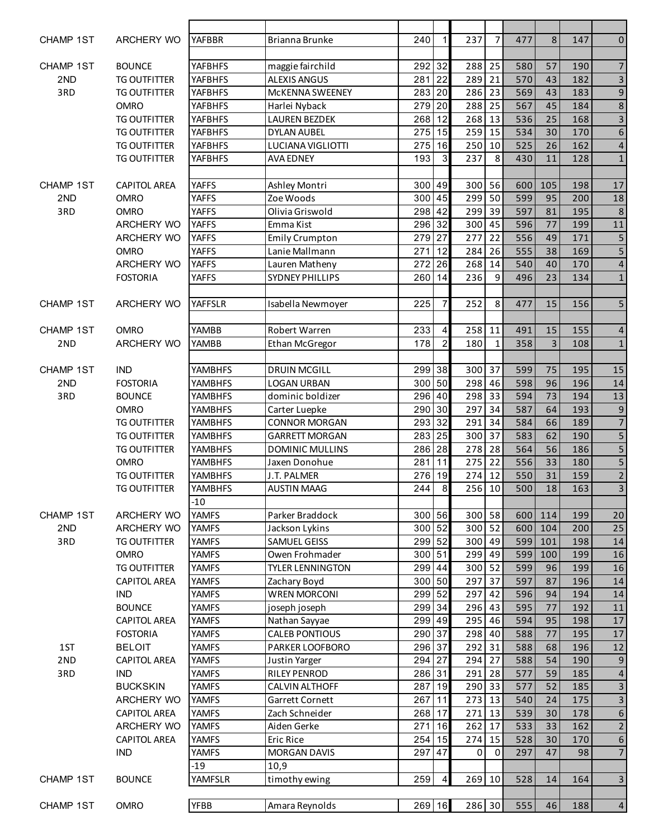| <b>CHAMP 1ST</b>        | ARCHERY WO                         | <b>YAFBBR</b>  | Brianna Brunke             | 240        | 1              | 237    | $\overline{7}$ | 477        | 8              | 147        | $\pmb{0}$               |
|-------------------------|------------------------------------|----------------|----------------------------|------------|----------------|--------|----------------|------------|----------------|------------|-------------------------|
| <b>CHAMP 1ST</b>        | <b>BOUNCE</b>                      | <b>YAFBHFS</b> | maggie fairchild           | 292        | 32             | 288 25 |                | 580        | 57             | 190        | $\overline{7}$          |
| 2ND                     | <b>TG OUTFITTER</b>                | <b>YAFBHFS</b> | <b>ALEXIS ANGUS</b>        | 281        | 22             | 289    | 21             | 570        | 43             | 182        | $\overline{3}$          |
| 3RD                     | <b>TG OUTFITTER</b>                | <b>YAFBHFS</b> | McKENNA SWEENEY            | 283        | 20             | 286    | 23             | 569        | 43             | 183        | $\overline{9}$          |
|                         | <b>OMRO</b>                        | <b>YAFBHFS</b> | Harlei Nyback              | 279        | 20             | 288    | 25             | 567        | 45             | 184        | $\,8\,$                 |
|                         |                                    |                |                            | 268        | 12             | 268    | 13             | 536        | 25             | 168        | $\overline{\mathbf{3}}$ |
|                         | <b>TG OUTFITTER</b>                | <b>YAFBHFS</b> | <b>LAUREN BEZDEK</b>       |            | 15             |        | 15             | 534        | 30             |            | $\overline{6}$          |
|                         | <b>TG OUTFITTER</b>                | <b>YAFBHFS</b> | <b>DYLAN AUBEL</b>         | 275        |                | 259    |                |            |                | 170        |                         |
|                         | <b>TG OUTFITTER</b>                | <b>YAFBHFS</b> | LUCIANA VIGLIOTTI          | 275        | 16             | 250    | 10             | 525        | 26             | 162        | $\overline{a}$          |
|                         | <b>TG OUTFITTER</b>                | <b>YAFBHFS</b> | <b>AVA EDNEY</b>           | 193        | 3              | 237    | 8              | 430        | 11             | 128        | $\mathbf 1$             |
|                         |                                    | <b>YAFFS</b>   |                            |            |                | 300 56 |                |            | 105            |            |                         |
| <b>CHAMP 1ST</b><br>2ND | <b>CAPITOL AREA</b><br><b>OMRO</b> | <b>YAFFS</b>   | Ashley Montri<br>Zoe Woods | 300<br>300 | 49<br>45       | 299    | 50             | 600<br>599 | 95             | 198<br>200 | 17                      |
|                         |                                    |                |                            | 298 42     |                |        | 39             |            |                | 195        | 18                      |
| 3RD                     | <b>OMRO</b>                        | <b>YAFFS</b>   | Olivia Griswold            |            |                | 299    |                | 597        | 81             |            | $\,$ 8 $\,$             |
|                         | ARCHERY WO                         | <b>YAFFS</b>   | Emma Kist                  | 296 32     |                | 300 45 |                | 596        | 77             | 199        | 11                      |
|                         | ARCHERY WO                         | <b>YAFFS</b>   | <b>Emily Crumpton</b>      | 279        | 27             | 277    | 22             | 556        | 49             | 171        | 5                       |
|                         | <b>OMRO</b>                        | <b>YAFFS</b>   | Lanie Mallmann             | 271        | 12             | 284    | 26             | 555        | 38             | 169        | $\overline{5}$          |
|                         | ARCHERY WO                         | <b>YAFFS</b>   | Lauren Matheny             | 272        | 26             | 268    | 14             | 540        | 40             | 170        | $\overline{\mathbf{4}}$ |
|                         | <b>FOSTORIA</b>                    | <b>YAFFS</b>   | <b>SYDNEY PHILLIPS</b>     | 260        | 14             | 236    | 9              | 496        | 23             | 134        | $\mathbf 1$             |
| CHAMP 1ST               | ARCHERY WO                         | YAFFSLR        | Isabella Newmoyer          | 225        | $\overline{7}$ | 252    | 8              | 477        | 15             | 156        | 5                       |
|                         |                                    |                |                            |            |                |        |                |            |                |            |                         |
| <b>CHAMP 1ST</b>        | <b>OMRO</b>                        | <b>YAMBB</b>   | Robert Warren              | 233        | 4              | 258    | 11             | 491        | 15             | 155        | $\overline{\mathbf{4}}$ |
| 2 <sub>ND</sub>         | <b>ARCHERY WO</b>                  | YAMBB          | Ethan McGregor             | 178        | $\overline{a}$ | 180    | $\mathbf{1}$   | 358        | $\overline{3}$ | 108        | $\mathbf 1$             |
|                         |                                    |                |                            |            |                |        |                |            |                |            |                         |
| <b>CHAMP 1ST</b>        | <b>IND</b>                         | <b>YAMBHFS</b> | <b>DRUIN MCGILL</b>        | 299 38     |                | 300 37 |                | 599        | 75             | 195        | 15                      |
| 2ND                     | <b>FOSTORIA</b>                    | <b>YAMBHFS</b> | <b>LOGAN URBAN</b>         | 300        | 50             | 298    | 46             | 598        | 96             | 196        | 14                      |
| 3RD                     | <b>BOUNCE</b>                      | <b>YAMBHFS</b> | dominic boldizer           | 296 40     |                | 298    | 33             | 594        | 73             | 194        | 13                      |
|                         | <b>OMRO</b>                        | <b>YAMBHFS</b> | Carter Luepke              | 290        | 30             | 297    | 34             | 587        | 64             | 193        | 9                       |
|                         | <b>TG OUTFITTER</b>                | <b>YAMBHFS</b> | <b>CONNOR MORGAN</b>       | 293        | 32             | 291 34 |                | 584        | 66             | 189        | $\overline{7}$          |
|                         | <b>TG OUTFITTER</b>                | <b>YAMBHFS</b> | <b>GARRETT MORGAN</b>      | 283        | 25             | 300 37 |                | 583        | 62             | 190        | $\overline{5}$          |
|                         | <b>TG OUTFITTER</b>                | <b>YAMBHFS</b> | <b>DOMINIC MULLINS</b>     | 286 28     |                | 278    | 28             | 564        | 56             | 186        | $\overline{5}$          |
|                         | <b>OMRO</b>                        | <b>YAMBHFS</b> | Jaxen Donohue              | 281        | 11             | 275    | 22             | 556        | 33             | 180        | $\overline{5}$          |
|                         | <b>TG OUTFITTER</b>                | <b>YAMBHFS</b> | J.T. PALMER                | 276        | 19             | 274    | 12             | 550        | 31             | 159        | $\overline{c}$          |
|                         | <b>TG OUTFITTER</b>                | <b>YAMBHFS</b> | <b>AUSTIN MAAG</b>         | 244        | 8              | 256    | 10             | 500        | 18             | 163        | $\overline{3}$          |
|                         |                                    | $-10$          |                            |            |                |        |                |            |                |            |                         |
| CHAMP 1ST               | <b>ARCHERY WO</b>                  | <b>YAMFS</b>   | Parker Braddock            | 300 56     |                | 300 58 |                | 600        | 114            | 199        | 20                      |
| 2ND                     | ARCHERY WO                         | <b>YAMFS</b>   | Jackson Lykins             | 300 52     |                | 300 52 |                | 600        | 104            | 200        | 25                      |
| 3RD                     | <b>TG OUTFITTER</b>                | <b>YAMFS</b>   | SAMUEL GEISS               | 299 52     |                | 300 49 |                | 599        | 101            | 198        | 14                      |
|                         | <b>OMRO</b>                        | <b>YAMFS</b>   | Owen Frohmader             | 300 51     |                | 299 49 |                | 599        | 100            | 199        | 16                      |
|                         | <b>TG OUTFITTER</b>                | <b>YAMFS</b>   | <b>TYLER LENNINGTON</b>    | 299 44     |                | 300 52 |                | 599        | 96             | 199        | 16                      |
|                         | <b>CAPITOL AREA</b>                | <b>YAMFS</b>   | Zachary Boyd               | 300 50     |                | 297    | 37             | 597        | 87             | 196        | 14                      |
|                         | <b>IND</b>                         | <b>YAMFS</b>   | <b>WREN MORCONI</b>        | 299 52     |                | 297    | 42             | 596        | 94             | 194        | 14                      |
|                         | <b>BOUNCE</b>                      |                |                            | 299 34     |                | 296    | 43             |            |                |            |                         |
|                         |                                    | <b>YAMFS</b>   | joseph joseph              |            |                |        |                | 595        | 77             | 192        | 11                      |
|                         | <b>CAPITOL AREA</b>                | <b>YAMFS</b>   | Nathan Sayyae              | 299        | 49             | 295    | 46             | 594        | 95             | 198        | 17                      |
|                         | <b>FOSTORIA</b>                    | <b>YAMFS</b>   | <b>CALEB PONTIOUS</b>      | 290        | 37             | 298    | 40             | 588        | 77             | 195        | 17                      |
| 1ST                     | <b>BELOIT</b>                      | <b>YAMFS</b>   | PARKER LOOFBORO            | 296        | 37             | 292    | 31             | 588        | 68             | 196        | 12                      |
| 2 <sub>ND</sub>         | CAPITOL AREA                       | <b>YAMFS</b>   | Justin Yarger              | 294        | 27             | 294    | 27             | 588        | 54             | 190        | $\boldsymbol{9}$        |
| 3RD                     | <b>IND</b>                         | <b>YAMFS</b>   | RILEY PENROD               | 286        | 31             | 291    | 28             | 577        | 59             | 185        | $\overline{\mathbf{4}}$ |
|                         | <b>BUCKSKIN</b>                    | <b>YAMFS</b>   | CALVIN ALTHOFF             | 287        | 19             | 290    | 33             | 577        | 52             | 185        | $\overline{\mathbf{3}}$ |
|                         | ARCHERY WO                         | <b>YAMFS</b>   | Garrett Cornett            | 267        | 11             | 273    | 13             | 540        | 24             | 175        | $\overline{\mathbf{3}}$ |
|                         | <b>CAPITOL AREA</b>                | <b>YAMFS</b>   | Zach Schneider             | 268 17     |                | 271 13 |                | 539        | 30             | 178        | 6                       |
|                         | ARCHERY WO                         | <b>YAMFS</b>   | Aiden Gerke                | 271        | 16             | 262    | 17             | 533        | 33             | 162        | $\overline{2}$          |
|                         | <b>CAPITOL AREA</b>                | <b>YAMFS</b>   | Eric Rice                  | 254        | 15             | 274 15 |                | 528        | 30             | 170        | $\boldsymbol{6}$        |
|                         | <b>IND</b>                         | <b>YAMFS</b>   | <b>MORGAN DAVIS</b>        | 297        | 47             | 0      | $\mathbf 0$    | 297        | 47             | 98         | $\overline{7}$          |
|                         |                                    | $-19$          | 10,9                       |            |                |        |                |            |                |            |                         |
| <b>CHAMP 1ST</b>        | <b>BOUNCE</b>                      | YAMFSLR        | timothy ewing              | 259        | 4              | 269 10 |                | 528        | 14             | 164        | $\mathsf{3}$            |
|                         |                                    |                |                            |            |                |        |                |            |                |            |                         |
| CHAMP 1ST               | OMRO                               | <b>YFBB</b>    | Amara Reynolds             | 269 16     |                | 286 30 |                | 555        | 46             | 188        | $\overline{a}$          |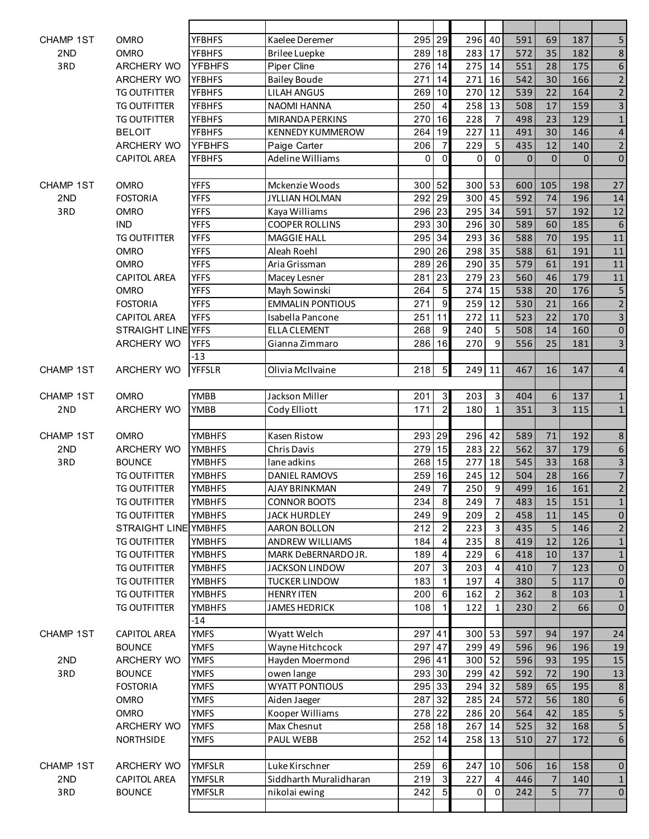| <b>CHAMP 1ST</b> | <b>OMRO</b>          | <b>YFBHFS</b> | Kaelee Deremer          | 295         | 29               | 296      | 40             | 591         | 69             | 187            | 5                       |
|------------------|----------------------|---------------|-------------------------|-------------|------------------|----------|----------------|-------------|----------------|----------------|-------------------------|
| 2ND              | <b>OMRO</b>          | <b>YFBHFS</b> | <b>Brilee Luepke</b>    | 289         | 18               | 283      | 17             | 572         | 35             | 182            | $\,8\,$                 |
| 3RD              | ARCHERY WO           | <b>YFBHFS</b> | <b>Piper Cline</b>      | 276         | 14               | 275 14   |                | 551         | 28             | 175            | 6                       |
|                  | ARCHERY WO           | <b>YFBHFS</b> | <b>Bailey Boude</b>     | 271         | 14               | 271 16   |                | 542         | 30             | 166            | $\overline{2}$          |
|                  | <b>TG OUTFITTER</b>  | <b>YFBHFS</b> | <b>LILAH ANGUS</b>      | 269         | 10               | 270      | 12             | 539         | 22             | 164            | $\overline{2}$          |
|                  | <b>TG OUTFITTER</b>  | <b>YFBHFS</b> | <b>NAOMI HANNA</b>      | 250         | $\overline{4}$   | 258      | 13             | 508         | 17             | 159            | $\overline{\mathbf{3}}$ |
|                  | <b>TG OUTFITTER</b>  | <b>YFBHFS</b> | MIRANDA PERKINS         | 270         | 16               | 228      | $\overline{7}$ | 498         | 23             | 129            | $\mathbf 1$             |
|                  | <b>BELOIT</b>        | <b>YFBHFS</b> | <b>KENNEDY KUMMEROW</b> | 264         | 19               | 227      | 11             | 491         | 30             | 146            | $\overline{\mathbf{4}}$ |
|                  | <b>ARCHERY WO</b>    | <b>YFBHFS</b> | Paige Carter            | 206         | $\overline{7}$   | 229      | 5              | 435         | 12             | 140            | $\overline{2}$          |
|                  | <b>CAPITOL AREA</b>  | <b>YFBHFS</b> | <b>Adeline Williams</b> | $\mathbf 0$ | $\Omega$         | 0        | $\Omega$       | $\mathbf 0$ | $\Omega$       | $\overline{0}$ | $\pmb{0}$               |
|                  |                      |               |                         |             |                  |          |                |             |                |                |                         |
| <b>CHAMP 1ST</b> | <b>OMRO</b>          | <b>YFFS</b>   | Mckenzie Woods          | 300         | 52               | 300 53   |                | 600         | 105            | 198            | 27                      |
| 2ND              | <b>FOSTORIA</b>      | <b>YFFS</b>   | JYLLIAN HOLMAN          | 292         | 29               | 300 45   |                | 592         | 74             | 196            | 14                      |
| 3RD              | <b>OMRO</b>          | <b>YFFS</b>   | Kaya Williams           | 296 23      |                  | 295      | 34             | 591         | 57             | 192            | 12                      |
|                  | <b>IND</b>           | <b>YFFS</b>   | <b>COOPER ROLLINS</b>   | 293         | 30               | 296      | 30             | 589         | 60             | 185            | $\sqrt{6}$              |
|                  | <b>TG OUTFITTER</b>  | <b>YFFS</b>   | <b>MAGGIE HALL</b>      | 295         | 34               | 293 36   |                | 588         | 70             | 195            | 11                      |
|                  | <b>OMRO</b>          | <b>YFFS</b>   | Aleah Roehl             | 290         | 26               | $298$ 35 |                | 588         | 61             | 191            | $11\,$                  |
|                  | <b>OMRO</b>          | <b>YFFS</b>   | Aria Grissman           | 289         | 26               | 290      | 35             | 579         | 61             | 191            | 11                      |
|                  | <b>CAPITOL AREA</b>  | <b>YFFS</b>   | Macey Lesner            | 281         | 23               | 279      | 23             | 560         | 46             | 179            | 11                      |
|                  | <b>OMRO</b>          | <b>YFFS</b>   | Mayh Sowinski           | 264         | $\overline{5}$   | 274      | 15             | 538         | 20             | 176            | $\overline{\mathbf{5}}$ |
|                  | <b>FOSTORIA</b>      | <b>YFFS</b>   | <b>EMMALIN PONTIOUS</b> | 271         | 9                | 259      | 12             | 530         | 21             | 166            | $\overline{2}$          |
|                  | <b>CAPITOL AREA</b>  | <b>YFFS</b>   | Isabella Pancone        | 251         | 11               | 272      | 11             | 523         | 22             | 170            | $\overline{3}$          |
|                  | STRAIGHT LINE YFFS   |               | <b>ELLA CLEMENT</b>     | 268         | 9                | 240      | 5              | 508         | 14             | 160            | $\pmb{0}$               |
|                  | <b>ARCHERY WO</b>    | <b>YFFS</b>   | Gianna Zimmaro          | 286         | 16               | 270      | 9              | 556         | 25             | 181            | $\overline{\mathbf{3}}$ |
|                  |                      | $-13$         |                         |             |                  |          |                |             |                |                |                         |
| <b>CHAMP 1ST</b> | ARCHERY WO           | <b>YFFSLR</b> | Olivia McIlvaine        | 218         | 5 <sup>1</sup>   | 249 11   |                | 467         | 16             | 147            | $\overline{4}$          |
|                  |                      |               |                         |             |                  |          |                |             |                |                |                         |
| <b>CHAMP 1ST</b> | <b>OMRO</b>          | <b>YMBB</b>   | Jackson Miller          | 201         | $\overline{3}$   | 203      | $\mathbf{3}$   | 404         | 6              | 137            | $\mathbf{1}$            |
| 2ND              | ARCHERY WO           | <b>YMBB</b>   | Cody Elliott            | 171         | $\overline{a}$   | 180      | $\mathbf{1}$   | 351         | 3              | 115            | $\mathbf{1}$            |
|                  |                      |               |                         |             |                  |          |                |             |                |                |                         |
| CHAMP 1ST        | <b>OMRO</b>          | <b>YMBHFS</b> | Kasen Ristow            | 293 29      |                  | 296 42   |                | 589         | 71             | 192            | $\,$ 8 $\,$             |
| 2ND              | ARCHERY WO           | <b>YMBHFS</b> | <b>Chris Davis</b>      | 279         | 15               | 283      | 22             | 562         | 37             | 179            | $\boldsymbol{6}$        |
| 3RD              | <b>BOUNCE</b>        | <b>YMBHFS</b> | lane adkins             | 268         | 15               | 277      | 18             | 545         | 33             | 168            | $\overline{3}$          |
|                  | <b>TG OUTFITTER</b>  | <b>YMBHFS</b> | <b>DANIEL RAMOVS</b>    | 259         | 16               | 245      | 12             | 504         | 28             | 166            | $\overline{7}$          |
|                  | <b>TG OUTFITTER</b>  | <b>YMBHFS</b> | AJAY BRINKMAN           | 249         | $\overline{7}$   | 250      | 9              | 499         | 16             | 161            | $\overline{2}$          |
|                  | TG OUTFITTER         | <b>YMBHFS</b> | <b>CONNOR BOOTS</b>     | 234         | 8 <sup>8</sup>   | 249      | $\overline{7}$ | 483         | 15             | 151            | $\mathbf{1}$            |
|                  | <b>TG OUTFITTER</b>  | <b>YMBHFS</b> | <b>JACK HURDLEY</b>     | 249         | 9                | 209      | $\overline{2}$ | 458         | 11             | 145            | $\pmb{0}$               |
|                  | STRAIGHT LINE YMBHFS |               | AARON BOLLON            | 212         | $\mathbf{2}$     | 223      | $\mathbf{3}$   | 435         | 5              | 146            | $\overline{2}$          |
|                  | <b>TG OUTFITTER</b>  | <b>YMBHFS</b> | ANDREW WILLIAMS         | 184         | $\vert$          | 235      | 8              | 419         | 12             | 126            | $\mathbf 1$             |
|                  | <b>TG OUTFITTER</b>  | <b>YMBHFS</b> | MARK DeBERNARDO JR.     | 189         | $\overline{4}$   | 229      | 6              | 418         | 10             | 137            | $\mathbf 1$             |
|                  | <b>TG OUTFITTER</b>  | <b>YMBHFS</b> | <b>JACKSON LINDOW</b>   | 207         | $\overline{3}$   | 203      | 4              | 410         | $\overline{7}$ | 123            | $\mathbf 0$             |
|                  | <b>TG OUTFITTER</b>  | <b>YMBHFS</b> | <b>TUCKER LINDOW</b>    | 183         | $\vert$ 1        | 197      | 4              | 380         | 5              | 117            | $\pmb{0}$               |
|                  | <b>TG OUTFITTER</b>  | <b>YMBHFS</b> | <b>HENRY ITEN</b>       | 200         | $6 \overline{6}$ | 162      | $\overline{2}$ | 362         | $\,8\,$        | 103            | $\mathbf 1$             |
|                  | <b>TG OUTFITTER</b>  | <b>YMBHFS</b> | <b>JAMES HEDRICK</b>    | 108         | $\mathbf{1}$     | 122      | $\mathbf{1}$   | 230         | $\overline{2}$ | 66             | $\mathbf 0$             |
|                  |                      | $-14$         |                         |             |                  |          |                |             |                |                |                         |
| CHAMP 1ST        | <b>CAPITOL AREA</b>  | <b>YMFS</b>   | Wyatt Welch             | 297         | 41               | 300 53   |                | 597         | 94             | 197            | 24                      |
|                  | <b>BOUNCE</b>        | <b>YMFS</b>   | Wayne Hitchcock         | 297         | 47               | 299      | 49             | 596         | 96             | 196            | 19                      |
| 2ND              | ARCHERY WO           | <b>YMFS</b>   | Hayden Moermond         | 296         | 41               | $300$ 52 |                | 596         | 93             | 195            | 15                      |
| 3RD              | <b>BOUNCE</b>        | <b>YMFS</b>   | owen lange              | 293 30      |                  | 299      | 42             | 592         | 72             | 190            | 13                      |
|                  | <b>FOSTORIA</b>      | <b>YMFS</b>   | <b>WYATT PONTIOUS</b>   | 295 33      |                  | 294      | 32             | 589         | 65             | 195            | $\,$ 8 $\,$             |
|                  | <b>OMRO</b>          | <b>YMFS</b>   | Aiden Jaeger            | 287         | 32               | 285      | 24             | 572         | 56             | 180            | $\sqrt{6}$              |
|                  | <b>OMRO</b>          | <b>YMFS</b>   | Kooper Williams         | 278 22      |                  | 286 20   |                | 564         | 42             | 185            | 5                       |
|                  | ARCHERY WO           | <b>YMFS</b>   | Max Chesnut             | 258 18      |                  | 267 14   |                | 525         | 32             | 168            | 5                       |
|                  | <b>NORTHSIDE</b>     | <b>YMFS</b>   | PAUL WEBB               | 252         | 14               | 258 13   |                | 510         | 27             | 172            | $6\phantom{a}$          |
|                  |                      |               |                         |             |                  |          |                |             |                |                |                         |
| CHAMP 1ST        | ARCHERY WO           | <b>YMFSLR</b> | Luke Kirschner          | 259         | $6 \overline{6}$ | 247      | 10             | 506         | 16             | 158            | $\mathbf 0$             |
| 2ND              | <b>CAPITOL AREA</b>  | <b>YMFSLR</b> | Siddharth Muralidharan  | 219         | $\overline{3}$   | 227      | 4              | 446         | $\overline{7}$ | 140            | $\mathbf{1}$            |
| 3RD              | <b>BOUNCE</b>        | <b>YMFSLR</b> | nikolai ewing           | 242         | 5 <sub>5</sub>   | 0        | 0              | 242         | 5 <sup>1</sup> | 77             | $\pmb{0}$               |
|                  |                      |               |                         |             |                  |          |                |             |                |                |                         |